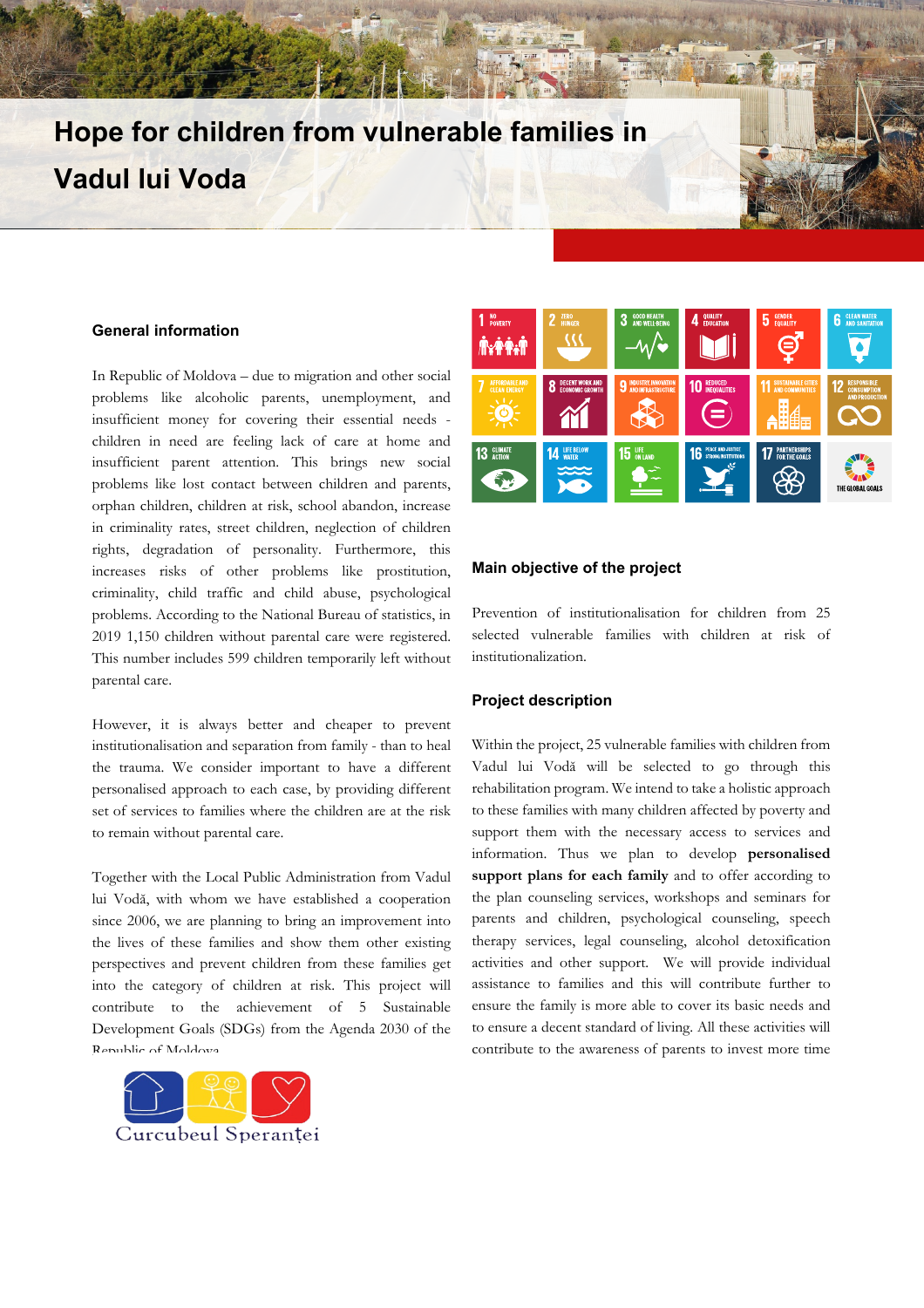# **Hope for children from vulnerable families in Vadul lui Voda**

#### **General information**

In Republic of Moldova – due to migration and other social problems like alcoholic parents, unemployment, and insufficient money for covering their essential needs children in need are feeling lack of care at home and insufficient parent attention. This brings new social problems like lost contact between children and parents, orphan children, children at risk, school abandon, increase in criminality rates, street children, neglection of children rights, degradation of personality. Furthermore, this increases risks of other problems like prostitution, criminality, child traffic and child abuse, psychological problems. According to the National Bureau of statistics, in 2019 1,150 children without parental care were registered. This number includes 599 children temporarily left without parental care.

However, it is always better and cheaper to prevent institutionalisation and separation from family - than to heal the trauma. We consider important to have a different personalised approach to each case, by providing different set of services to families where the children are at the risk to remain without parental care.

Together with the Local Public Administration from Vadul lui Vodă, with whom we have established a cooperation since 2006, we are planning to bring an improvement into the lives of these families and show them other existing perspectives and prevent children from these families get into the category of children at risk. This project will contribute to the achievement of 5 Sustainable Development Goals (SDGs) from the Agenda 2030 of the Republic of Moldova.





## **Main objective of the project**

Prevention of institutionalisation for children from 25 selected vulnerable families with children at risk of institutionalization.

#### **Project description**

Within the project, 25 vulnerable families with children from Vadul lui Vodă will be selected to go through this rehabilitation program. We intend to take a holistic approach to these families with many children affected by poverty and support them with the necessary access to services and information. Thus we plan to develop **personalised support plans for each family** and to offer according to the plan counseling services, workshops and seminars for parents and children, psychological counseling, speech therapy services, legal counseling, alcohol detoxification activities and other support. We will provide individual assistance to families and this will contribute further to ensure the family is more able to cover its basic needs and to ensure a decent standard of living. All these activities will contribute to the awareness of parents to invest more time